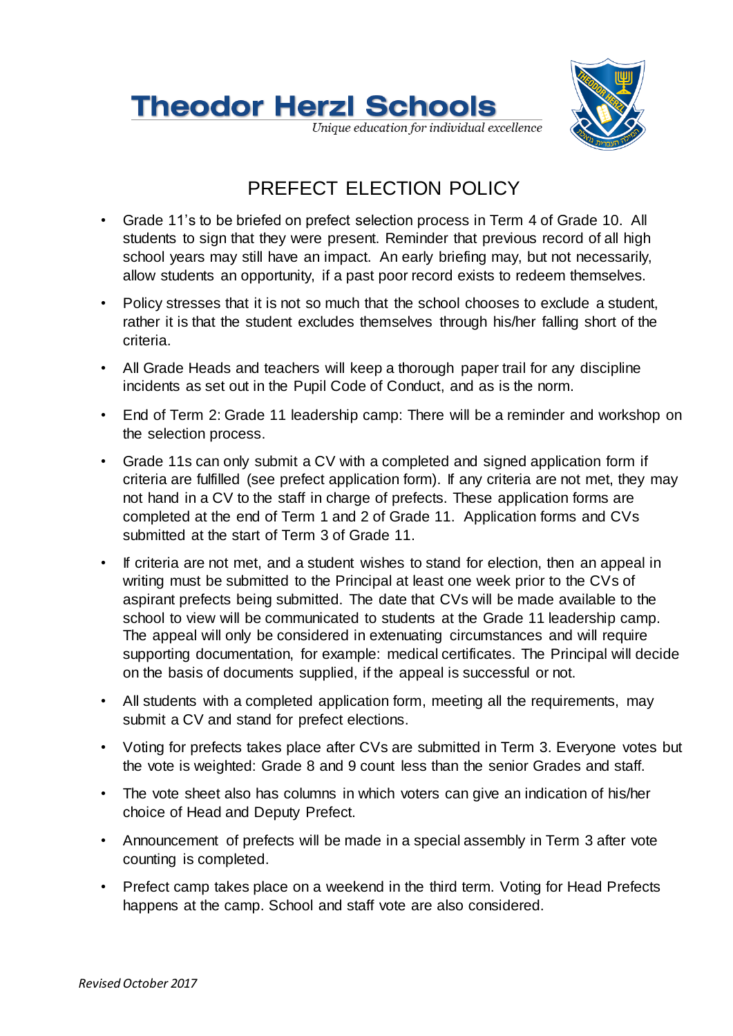



## PREFECT ELECTION POLICY

- Grade 11's to be briefed on prefect selection process in Term 4 of Grade 10. All students to sign that they were present. Reminder that previous record of all high school years may still have an impact. An early briefing may, but not necessarily, allow students an opportunity, if a past poor record exists to redeem themselves.
- Policy stresses that it is not so much that the school chooses to exclude a student, rather it is that the student excludes themselves through his/her falling short of the criteria.
- All Grade Heads and teachers will keep a thorough paper trail for any discipline incidents as set out in the Pupil Code of Conduct, and as is the norm.
- End of Term 2: Grade 11 leadership camp: There will be a reminder and workshop on the selection process.
- Grade 11s can only submit a CV with a completed and signed application form if criteria are fulfilled (see prefect application form). If any criteria are not met, they may not hand in a CV to the staff in charge of prefects. These application forms are completed at the end of Term 1 and 2 of Grade 11. Application forms and CVs submitted at the start of Term 3 of Grade 11.
- If criteria are not met, and a student wishes to stand for election, then an appeal in writing must be submitted to the Principal at least one week prior to the CVs of aspirant prefects being submitted. The date that CVs will be made available to the school to view will be communicated to students at the Grade 11 leadership camp. The appeal will only be considered in extenuating circumstances and will require supporting documentation, for example: medical certificates. The Principal will decide on the basis of documents supplied, if the appeal is successful or not.
- All students with a completed application form, meeting all the requirements, may submit a CV and stand for prefect elections.
- Voting for prefects takes place after CVs are submitted in Term 3. Everyone votes but the vote is weighted: Grade 8 and 9 count less than the senior Grades and staff.
- The vote sheet also has columns in which voters can give an indication of his/her choice of Head and Deputy Prefect.
- Announcement of prefects will be made in a special assembly in Term 3 after vote counting is completed.
- Prefect camp takes place on a weekend in the third term. Voting for Head Prefects happens at the camp. School and staff vote are also considered.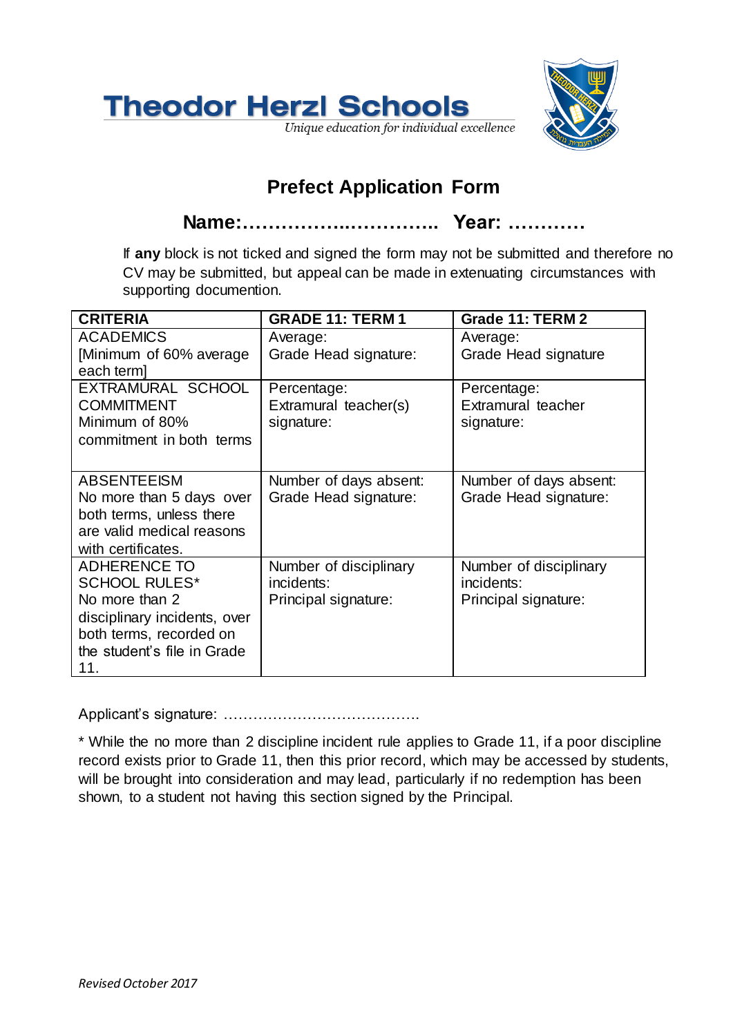



## **Prefect Application Form**

**Name:……………..………….. Year: …………**

If **any** block is not ticked and signed the form may not be submitted and therefore no CV may be submitted, but appeal can be made in extenuating circumstances with supporting documention.

| <b>CRITERIA</b>              | <b>GRADE 11: TERM 1</b> | Grade 11: TERM 2       |
|------------------------------|-------------------------|------------------------|
| <b>ACADEMICS</b>             | Average:                | Average:               |
| Minimum of 60% average       | Grade Head signature:   | Grade Head signature   |
| each term]                   |                         |                        |
| EXTRAMURAL SCHOOL            | Percentage:             | Percentage:            |
| <b>COMMITMENT</b>            | Extramural teacher(s)   | Extramural teacher     |
| Minimum of 80%               | signature:              | signature:             |
| commitment in both terms     |                         |                        |
|                              |                         |                        |
| <b>ABSENTEEISM</b>           | Number of days absent:  | Number of days absent: |
| No more than 5 days over     | Grade Head signature:   | Grade Head signature:  |
| both terms, unless there     |                         |                        |
| are valid medical reasons    |                         |                        |
| with certificates.           |                         |                        |
| <b>ADHERENCE TO</b>          | Number of disciplinary  | Number of disciplinary |
| <b>SCHOOL RULES*</b>         | incidents:              | incidents:             |
| No more than 2               | Principal signature:    | Principal signature:   |
| disciplinary incidents, over |                         |                        |
| both terms, recorded on      |                         |                        |
| the student's file in Grade  |                         |                        |
| 11.                          |                         |                        |

Applicant's signature: ………………………………….

\* While the no more than 2 discipline incident rule applies to Grade 11, if a poor discipline record exists prior to Grade 11, then this prior record, which may be accessed by students, will be brought into consideration and may lead, particularly if no redemption has been shown, to a student not having this section signed by the Principal.